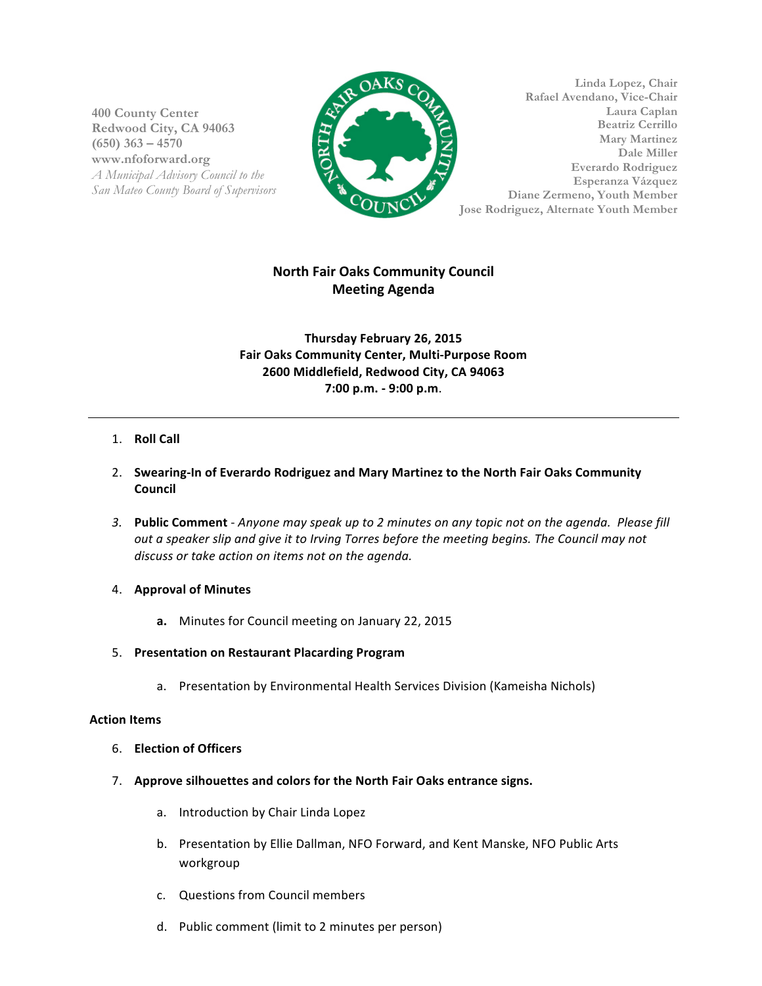**400 County Center Redwood City, CA 94063 (650) 363 – 4570 www.nfoforward.org** *A Municipal Advisory Council to the San Mateo County Board of Supervisors*



**Linda Lopez, Chair Rafael Avendano, Vice-Chair Laura Caplan Beatriz Cerrillo Mary Martinez Dale Miller Everardo Rodriguez Esperanza Vázquez Diane Zermeno, Youth Member Jose Rodriguez, Alternate Youth Member**

# **North Fair Oaks Community Council Meeting Agenda**

**Thursday February 26, 2015 Fair Oaks Community Center, Multi-Purpose Room 2600 Middlefield, Redwood City, CA 94063 7:00 p.m. - 9:00 p.m**.

## 1. **Roll Call**

- 2. Swearing-In of Everardo Rodriguez and Mary Martinez to the North Fair Oaks Community **Council**
- 3. Public Comment Anyone may speak up to 2 minutes on any topic not on the agenda. Please fill *out a speaker slip and give it to Irving Torres before the meeting begins. The Council may not* discuss or take action on items not on the agenda.

## 4. **Approval of Minutes**

a. Minutes for Council meeting on January 22, 2015

## 5. **Presentation on Restaurant Placarding Program**

a. Presentation by Environmental Health Services Division (Kameisha Nichols)

## **Action Items**

- 6. **Election of Officers**
- 7. Approve silhouettes and colors for the North Fair Oaks entrance signs.
	- a. Introduction by Chair Linda Lopez
	- b. Presentation by Ellie Dallman, NFO Forward, and Kent Manske, NFO Public Arts workgroup
	- c. Questions from Council members
	- d. Public comment (limit to 2 minutes per person)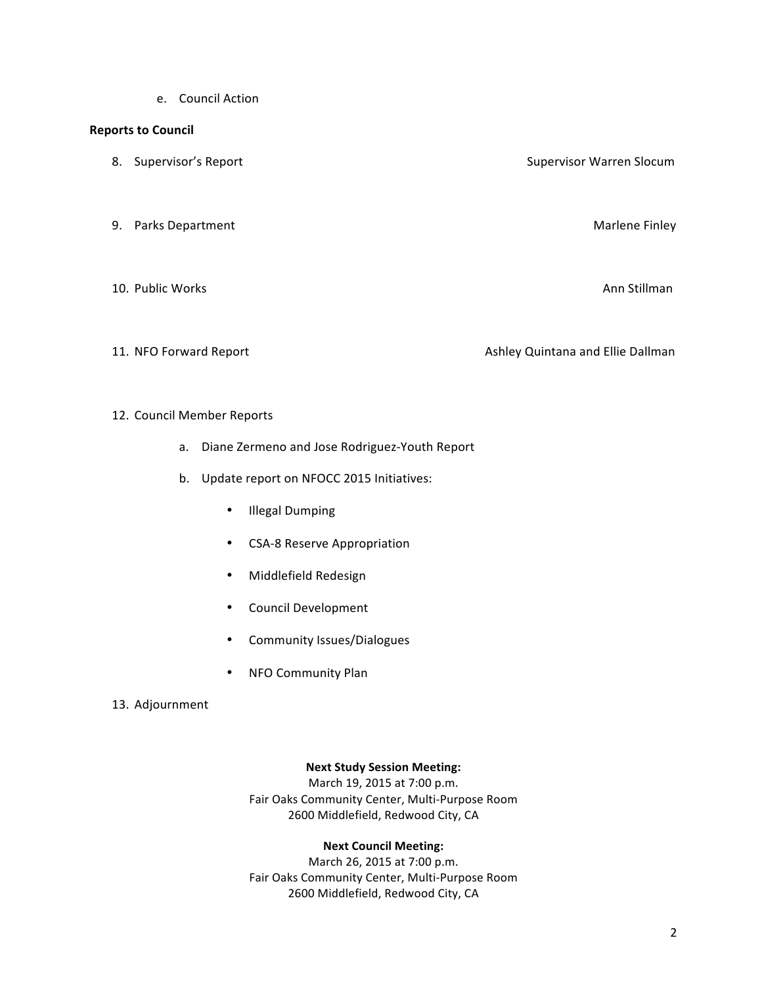e. Council Action

#### **Reports to Council**

- 8. Supervisor's Report Supervisor Warren Slocum
- 9. Parks Department Marlene Finley
- 10. Public Works Ann Stillman
- 

11. NFO Forward Report **Ashley Quintana** and Ellie Dallman and Ellie Dallman

#### 12. Council Member Reports

- a. Diane Zermeno and Jose Rodriguez-Youth Report
- b. Update report on NFOCC 2015 Initiatives:
	- Illegal Dumping
	- CSA-8 Reserve Appropriation
	- Middlefield Redesign
	- Council Development
	- Community Issues/Dialogues
	- NFO Community Plan

#### 13. Adjournment

## **Next Study Session Meeting:**

March 19, 2015 at 7:00 p.m. Fair Oaks Community Center, Multi-Purpose Room 2600 Middlefield, Redwood City, CA

#### **Next Council Meeting:**

March 26, 2015 at 7:00 p.m. Fair Oaks Community Center, Multi-Purpose Room 2600 Middlefield, Redwood City, CA